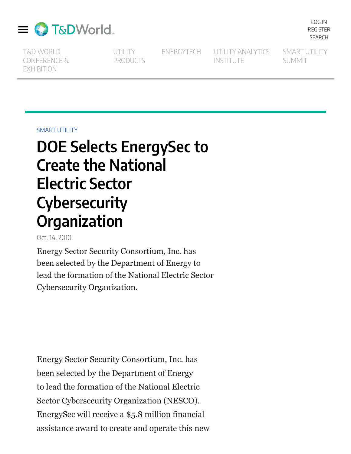

T&D WORLD [CONFERENCE](https://events.tdworld.com/tdw2022/1528398) & EXHIBITION

**UTILITY** [PRODUCTS](https://www.utilityproducts.com/)

[ENERGYTECH](https://www.energytech.com/) UTILITY [ANALYTICS](https://utilityanalytics.com/) INSTITUTE

SMART UTILITY [SUMMIT](https://www.smartutilitysummit.com/)

[LOG](https://www.tdworld.com/user/login) IN [REGISTER](https://www.tdworld.com/user/register) [SEARCH](https://www.tdworld.com/search)

SMART [UTILITY](https://www.tdworld.com/smart-utility)

## **DOE Selects EnergySec to Create the National Electric Sector Cybersecurity Organization**

Oct. 14, 2010

Energy Sector Security Consortium, Inc. has been selected by the Department of Energy to lead the formation of the National Electric Sector Cybersecurity Organization.

Energy Sector Security Consortium, Inc. has been selected by the Department of Energy to lead the formation of the National Electric Sector Cybersecurity Organization (NESCO). EnergySec will receive a \$5.8 million financial assistance award to create and operate this new